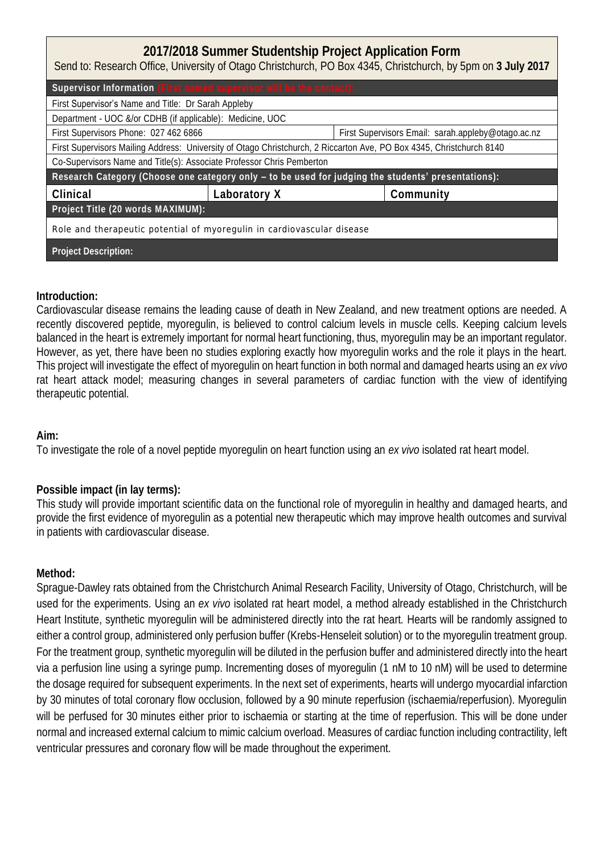## **2017/2018 Summer Studentship Project Application Form** Send to: Research Office, University of Otago Christchurch, PO Box 4345, Christchurch, by 5pm on **3 July 2017** Supervisor Information

| First <b>Supervisor's</b> Name and Title: Dr Sarah Appleby                                                           |              |                                                    |           |  |  |  |
|----------------------------------------------------------------------------------------------------------------------|--------------|----------------------------------------------------|-----------|--|--|--|
| Department - UOC &/or CDHB (if applicable): Medicine, UOC                                                            |              |                                                    |           |  |  |  |
| First Supervisors Phone: 027 462 6866                                                                                |              | First Supervisors Email: sarah.appleby@otago.ac.nz |           |  |  |  |
| First Supervisors Mailing Address: University of Otago Christchurch, 2 Riccarton Ave, PO Box 4345, Christchurch 8140 |              |                                                    |           |  |  |  |
| Co-Supervisors Name and Title(s): Associate Professor Chris Pemberton                                                |              |                                                    |           |  |  |  |
| Research Category (Choose one category only - to be used for judging the students' presentations):                   |              |                                                    |           |  |  |  |
| Clinical                                                                                                             | Laboratory X |                                                    | Community |  |  |  |
| Project Title (20 words MAXIMUM):                                                                                    |              |                                                    |           |  |  |  |
| Role and therapeutic potential of myoregulin in cardiovascular disease                                               |              |                                                    |           |  |  |  |
| Project Description:                                                                                                 |              |                                                    |           |  |  |  |

## **Introduction:**

Cardiovascular disease remains the leading cause of death in New Zealand, and new treatment options are needed. A recently discovered peptide, myoregulin, is believed to control calcium levels in muscle cells. Keeping calcium levels balanced in the heart is extremely important for normal heart functioning, thus, myoregulin may be an important regulator. However, as yet, there have been no studies exploring exactly how myoregulin works and the role it plays in the heart. This project will investigate the effect of myoregulin on heart function in both normal and damaged hearts using an *ex vivo* rat heart attack model; measuring changes in several parameters of cardiac function with the view of identifying therapeutic potential.

**Aim:** 

To investigate the role of a novel peptide myoregulin on heart function using an *ex vivo* isolated rat heart model.

## **Possible impact (in lay terms):**

This study will provide important scientific data on the functional role of myoregulin in healthy and damaged hearts, and provide the first evidence of myoregulin as a potential new therapeutic which may improve health outcomes and survival in patients with cardiovascular disease.

**Method:** 

Sprague-Dawley rats obtained from the Christchurch Animal Research Facility, University of Otago, Christchurch, will be used for the experiments. Using an *ex vivo* isolated rat heart model, a method already established in the Christchurch Heart Institute, synthetic myoregulin will be administered directly into the rat heart. Hearts will be randomly assigned to either a control group, administered only perfusion buffer (Krebs-Henseleit solution) or to the myoregulin treatment group. For the treatment group, synthetic myoregulin will be diluted in the perfusion buffer and administered directly into the heart via a perfusion line using a syringe pump. Incrementing doses of myoregulin (1 nM to 10 nM) will be used to determine the dosage required for subsequent experiments. In the next set of experiments, hearts will undergo myocardial infarction by 30 minutes of total coronary flow occlusion, followed by a 90 minute reperfusion (ischaemia/reperfusion). Myoregulin will be perfused for 30 minutes either prior to ischaemia or starting at the time of reperfusion. This will be done under normal and increased external calcium to mimic calcium overload. Measures of cardiac function including contractility, left ventricular pressures and coronary flow will be made throughout the experiment.